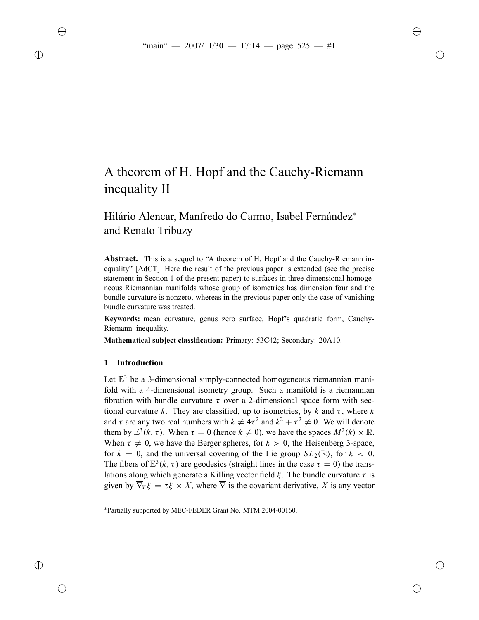# A theorem of H. Hopf and the Cauchy-Riemann inequality II

# Hilário Alencar, Manfredo do Carmo, Isabel Fernández<sup>∗</sup> and Renato Tribuzy

**Abstract.** This is a sequel to "A theorem of H. Hopf and the Cauchy-Riemann inequality" [AdCT]. Here the result of the previous paper is extended (see the precise statement in Section 1 of the present paper) to surfaces in three-dimensional homogeneous Riemannian manifolds whose group of isometries has dimension four and the bundle curvature is nonzero, whereas in the previous paper only the case of vanishing bundle curvature was treated.

**Keywords:** mean curvature, genus zero surface, Hopf's quadratic form, Cauchy-Riemann inequality.

**Mathematical subject classification:** Primary: 53C42; Secondary: 20A10.

# **1 Introduction**

Let  $\mathbb{E}^3$  be a 3-dimensional simply-connected homogeneous riemannian manifold with a 4-dimensional isometry group. Such a manifold is a riemannian fibration with bundle curvature  $\tau$  over a 2-dimensional space form with sectional curvature *k*. They are classified, up to isometries, by *k* and  $\tau$ , where *k* and  $\tau$  are any two real numbers with  $k \neq 4\tau^2$  and  $k^2 + \tau^2 \neq 0$ . We will denote them by  $\mathbb{E}^{3}(k, \tau)$ . When  $\tau = 0$  (hence  $k \neq 0$ ), we have the spaces  $M^{2}(k) \times \mathbb{R}$ . When  $\tau \neq 0$ , we have the Berger spheres, for  $k > 0$ , the Heisenberg 3-space, for  $k = 0$ , and the universal covering of the Lie group  $SL_2(\mathbb{R})$ , for  $k < 0$ . The fibers of  $\mathbb{E}^{3}(k, \tau)$  are geodesics (straight lines in the case  $\tau = 0$ ) the translations along which generate a Killing vector field  $\xi$ . The bundle curvature  $\tau$  is given by  $\overline{\nabla}_X \xi = \tau \xi \times X$ , where  $\overline{\nabla}$  is the covariant derivative, X is any vector

<sup>∗</sup>Partially supported by MEC-FEDER Grant No. MTM 2004-00160.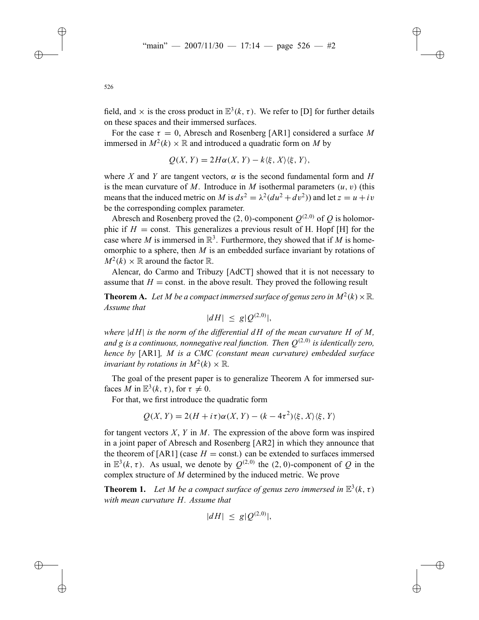field, and  $\times$  is the cross product in  $\mathbb{E}^{3}(k, \tau)$ . We refer to [D] for further details on these spaces and their immersed surfaces.

For the case  $\tau = 0$ , Abresch and Rosenberg [AR1] considered a surface M immersed in  $M^2(k) \times \mathbb{R}$  and introduced a quadratic form on M by

$$
Q(X, Y) = 2H\alpha(X, Y) - k\langle \xi, X \rangle \langle \xi, Y \rangle,
$$

where *X* and *Y* are tangent vectors,  $\alpha$  is the second fundamental form and *H* is the mean curvature of *M*. Introduce in *M* isothermal parameters  $(u, v)$  (this means that the induced metric on *M* is  $ds^2 = \lambda^2 (du^2 + dv^2)$  and let  $z = u + iv$ be the corresponding complex parameter.

Abresch and Rosenberg proved the (2, 0)-component  $Q^{(2,0)}$  of *Q* is holomorphic if  $H = \text{const.}$  This generalizes a previous result of H. Hopf [H] for the case where *M* is immersed in  $\mathbb{R}^3$ . Furthermore, they showed that if *M* is homeomorphic to a sphere, then *M* is an embedded surface invariant by rotations of  $M^2(k) \times \mathbb{R}$  around the factor  $\mathbb{R}$ .

Alencar, do Carmo and Tribuzy [AdCT] showed that it is not necessary to assume that  $H = \text{const.}$  in the above result. They proved the following result

**Theorem A.** Let *M* be a compact immersed surface of genus zero in  $M^2(k) \times \mathbb{R}$ . *Assume that*

$$
|dH| \le g|Q^{(2,0)}|,
$$

*where*  $|dH|$  *is the norm of the differential*  $dH$  *of the mean curvature*  $H$  *of*  $M$ , *and*  $g$  *is a continuous, nonnegative real function. Then*  $O^{(2,0)}$  *is identically zero, hence by* [AR1]*, M is a CMC (constant mean curvature) embedded surface invariant by rotations in*  $M^2(k) \times \mathbb{R}$ *.* 

The goal of the present paper is to generalize Theorem A for immersed surfaces *M* in  $\mathbb{E}^{3}(k, \tau)$ , for  $\tau \neq 0$ .

For that, we first introduce the quadratic form

$$
Q(X, Y) = 2(H + i\tau)\alpha(X, Y) - (k - 4\tau^2)\langle \xi, X \rangle \langle \xi, Y \rangle
$$

for tangent vectors *X*, *Y* in *M*. The expression of the above form was inspired in a joint paper of Abresch and Rosenberg [AR2] in which they announce that the theorem of [AR1] (case  $H = \text{const.}$ ) can be extended to surfaces immersed in  $\mathbb{E}^{3}(k, \tau)$ . As usual, we denote by  $O^{(2,0)}$  the (2,0)-component of *O* in the complex structure of *M* determined by the induced metric. We prove

**Theorem 1.** Let *M* be a compact surface of genus zero immersed in  $\mathbb{E}^{3}(k, \tau)$ *with mean curvature H. Assume that*

$$
|dH| \le g|Q^{(2,0)}|,
$$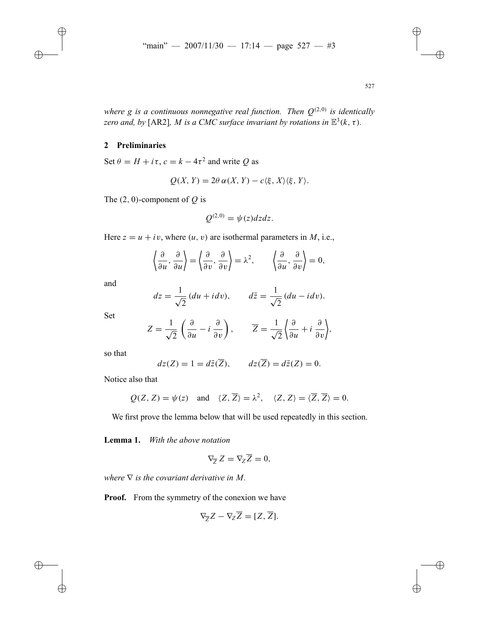*where g is a continuous nonnegative real function. Then*  $Q^{(2,0)}$  *is identically zero and, by* [AR2]*, M is a CMC surface invariant by rotations in*  $\mathbb{E}^{3}(k, \tau)$ *.* 

# **2 Preliminaries**

Set  $\theta = H + i\tau$ ,  $c = k - 4\tau^2$  and write *Q* as

$$
Q(X, Y) = 2\theta \alpha(X, Y) - c\langle \xi, X \rangle \langle \xi, Y \rangle.
$$

The (2, 0)-component of *Q* is

$$
Q^{(2,0)} = \psi(z)dzdz.
$$

Here  $z = u + iv$ , where  $(u, v)$  are isothermal parameters in *M*, i.e.,

$$
\left\langle \frac{\partial}{\partial u}, \frac{\partial}{\partial u} \right\rangle = \left\langle \frac{\partial}{\partial v}, \frac{\partial}{\partial v} \right\rangle = \lambda^2, \qquad \left\langle \frac{\partial}{\partial u}, \frac{\partial}{\partial v} \right\rangle = 0,
$$

and

$$
dz = \frac{1}{\sqrt{2}}(du + idv), \qquad d\bar{z} = \frac{1}{\sqrt{2}}(du - idv).
$$

Set

$$
Z = \frac{1}{\sqrt{2}} \left( \frac{\partial}{\partial u} - i \frac{\partial}{\partial v} \right), \qquad \overline{Z} = \frac{1}{\sqrt{2}} \left\{ \frac{\partial}{\partial u} + i \frac{\partial}{\partial v} \right\},
$$

so that

$$
dz(Z) = 1 = d\overline{z}(\overline{Z}), \qquad dz(\overline{Z}) = d\overline{z}(Z) = 0.
$$

Notice also that

$$
Q(Z, Z) = \psi(z)
$$
 and  $\langle Z, \overline{Z} \rangle = \lambda^2$ ,  $\langle Z, Z \rangle = \langle \overline{Z}, \overline{Z} \rangle = 0$ .

We first prove the lemma below that will be used repeatedly in this section.

**Lemma 1.** *With the above notation*

$$
\nabla_{\overline{Z}} Z = \nabla_Z \overline{Z} = 0,
$$

*where*  $\nabla$  *is the covariant derivative in M.* 

**Proof.** From the symmetry of the conexion we have

$$
\nabla_{\overline{Z}}Z - \nabla_{Z}\overline{Z} = [Z, \overline{Z}].
$$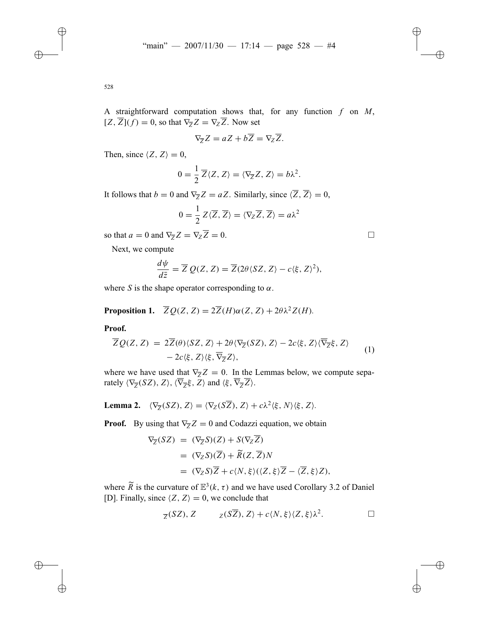$$
\nabla_{\overline{Z}}Z = aZ + b\overline{Z} = \nabla_Z\overline{Z}.
$$

Then, since  $\langle Z, Z \rangle = 0$ ,

$$
0 = \frac{1}{2} \overline{Z} \langle Z, Z \rangle = \langle \nabla_{\overline{Z}} Z, Z \rangle = b \lambda^2.
$$

It follows that  $b = 0$  and  $\nabla_{\overline{Z}} Z = aZ$ . Similarly, since  $\langle \overline{Z}, \overline{Z} \rangle = 0$ ,

$$
0 = \frac{1}{2} Z \langle \overline{Z}, \overline{Z} \rangle = \langle \nabla_Z \overline{Z}, \overline{Z} \rangle = a \lambda^2
$$

so that  $a = 0$  and  $\nabla_{\overline{Z}} Z = \nabla_Z \overline{Z} = 0$ .

Next, we compute

$$
\frac{d\psi}{d\bar{z}} = \overline{Z} \ Q(Z, Z) = \overline{Z} (2\theta \langle SZ, Z \rangle - c \langle \xi, Z \rangle^2),
$$

where *S* is the shape operator corresponding to  $\alpha$ .

**Proposition 1.**  $\overline{Z}Q(Z, Z) = 2\overline{Z}(H)\alpha(Z, Z) + 2\theta\lambda^2Z(H)$ .

### **Proof.**

$$
\overline{Z}Q(Z,Z) = 2\overline{Z}(\theta)\langle SZ, Z\rangle + 2\theta\langle\nabla_{\overline{Z}}(SZ), Z\rangle - 2c\langle\xi, Z\rangle\langle\overline{\nabla}_{\overline{Z}}\xi, Z\rangle \n- 2c\langle\xi, Z\rangle\langle\xi, \overline{\nabla}_{\overline{Z}}Z\rangle,
$$
\n(1)

where we have used that  $\nabla_{\overline{z}}Z = 0$ . In the Lemmas below, we compute separately  $\langle \nabla_{\overline{Z}} (SZ), Z \rangle$ ,  $\langle \overline{\nabla}_{\overline{Z}} \xi, \overline{Z} \rangle$  and  $\langle \xi, \overline{\nabla}_{\overline{Z}} \overline{Z} \rangle$ .

**Lemma 2.**  $\langle \nabla_{\overline{Z}}(SZ), Z \rangle = \langle \nabla_{Z}(S\overline{Z}), Z \rangle + c\lambda^2 \langle \xi, N \rangle \langle \xi, Z \rangle$ .

**Proof.** By using that  $\nabla_{\overline{Z}}Z = 0$  and Codazzi equation, we obtain

$$
\nabla_{\overline{Z}}(SZ) = (\nabla_{\overline{Z}}S)(Z) + S(\nabla_{Z}\overline{Z})
$$
  
= (\nabla\_{Z}S)(\overline{Z}) + \widetilde{R}(Z, \overline{Z})N  
= (\nabla\_{Z}S)\overline{Z} + c\langle N, \xi \rangle (\langle Z, \xi \rangle \overline{Z} - \langle \overline{Z}, \xi \rangle Z),

where  $\tilde{R}$  is the curvature of  $\mathbb{E}^3(k, \tau)$  and we have used Corollary 3.2 of Daniel [D]. Finally, since  $\langle Z, Z \rangle = 0$ , we conclude that

$$
\overline{z}(SZ), Z
$$
  $z(S\overline{Z}), Z \rangle + c\langle N, \xi \rangle \langle Z, \xi \rangle \lambda^2.$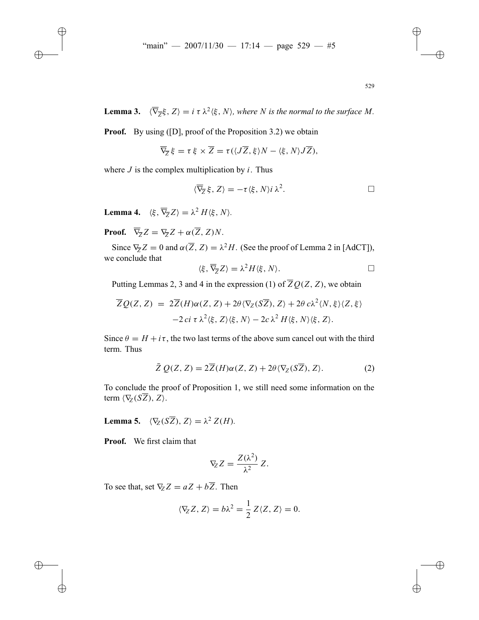**Lemma 3.**  $\langle \nabla_{\overline{z}} \xi, Z \rangle = i \tau \lambda^2 \langle \xi, N \rangle$ , where *N* is the normal to the surface *M*.

**Proof.** By using ([D], proof of the Proposition 3.2) we obtain

$$
\overline{\nabla}_{\overline{Z}}\xi=\tau\xi\times\overline{Z}=\tau(\langle J\overline{Z},\xi\rangle N-\langle\xi,N\rangle J\overline{Z}),
$$

where  $J$  is the complex multiplication by  $i$ . Thus

$$
\langle \overline{\nabla}_{\overline{Z}} \xi, Z \rangle = -\tau \langle \xi, N \rangle i \lambda^2. \Box
$$

**Lemma 4.**  $\langle \xi, \overline{\nabla}_{\overline{z}} Z \rangle = \lambda^2 H \langle \xi, N \rangle$ .

**Proof.**  $\overline{\nabla}_z Z = \nabla_{\overline{z}} Z + \alpha(\overline{Z}, Z)N$ .

Since  $\nabla_{\overline{Z}} Z = 0$  and  $\alpha(\overline{Z}, Z) = \lambda^2 H$ . (See the proof of Lemma 2 in [AdCT]), we conclude that

$$
\langle \xi, \overline{\nabla}_{\overline{Z}} Z \rangle = \lambda^2 H \langle \xi, N \rangle.
$$

Putting Lemmas 2, 3 and 4 in the expression (1) of  $\overline{Z}Q(Z, Z)$ , we obtain

$$
\overline{Z}Q(Z, Z) = 2\overline{Z}(H)\alpha(Z, Z) + 2\theta \langle \nabla_Z(S\overline{Z}), Z \rangle + 2\theta c\lambda^2 \langle N, \xi \rangle \langle Z, \xi \rangle
$$
  
-2 ci  $\tau \lambda^2 \langle \xi, Z \rangle \langle \xi, N \rangle - 2c \lambda^2 H \langle \xi, N \rangle \langle \xi, Z \rangle.$ 

Since  $\theta = H + i\tau$ , the two last terms of the above sum cancel out with the third term. Thus

$$
\bar{Z} Q(Z, Z) = 2\overline{Z}(H)\alpha(Z, Z) + 2\theta \langle \nabla_Z(\overline{SZ}), Z \rangle.
$$
 (2)

To conclude the proof of Proposition 1, we still need some information on the term  $\langle \nabla_z (S\overline{Z}), Z \rangle$ .

**Lemma 5.**  $\langle \nabla_z (\vec{SZ}) , Z \rangle = \lambda^2 Z(H)$ .

**Proof.** We first claim that

$$
\nabla_Z Z = \frac{Z(\lambda^2)}{\lambda^2} Z.
$$

To see that, set  $\nabla_z Z = aZ + b\overline{Z}$ . Then

$$
\langle \nabla_Z Z, Z \rangle = b\lambda^2 = \frac{1}{2} Z \langle Z, Z \rangle = 0.
$$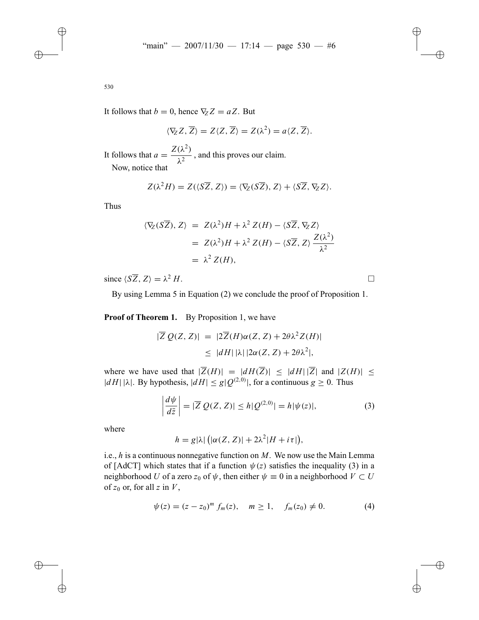It follows that  $b = 0$ , hence  $\nabla_z Z = aZ$ . But

$$
\langle \nabla_Z Z, \overline{Z} \rangle = Z \langle Z, \overline{Z} \rangle = Z(\lambda^2) = a \langle Z, \overline{Z} \rangle.
$$

It follows that  $a = \frac{Z(\lambda^2)}{\lambda^2}$ , and this proves our claim. Now, notice that

$$
Z(\lambda^2 H) = Z(\langle S\overline{Z}, Z\rangle) = \langle \nabla_Z(S\overline{Z}), Z\rangle + \langle S\overline{Z}, \nabla_Z Z\rangle.
$$

Thus

$$
\langle \nabla_Z (\vec{SZ}), Z \rangle = Z(\lambda^2)H + \lambda^2 Z(H) - \langle S\overline{Z}, \nabla_Z Z \rangle
$$
  
=  $Z(\lambda^2)H + \lambda^2 Z(H) - \langle S\overline{Z}, Z \rangle \frac{Z(\lambda^2)}{\lambda^2}$   
=  $\lambda^2 Z(H)$ ,

since  $\langle S\overline{Z}, Z\rangle = \lambda^2 H$ .

By using Lemma 5 in Equation (2) we conclude the proof of Proposition 1.

**Proof of Theorem 1.** By Proposition 1, we have

$$
|\overline{Z} Q(Z, Z)| = |2\overline{Z}(H)\alpha(Z, Z) + 2\theta \lambda^2 Z(H)|
$$
  
 
$$
\leq |dH||\lambda||2\alpha(Z, Z) + 2\theta \lambda^2|,
$$

where we have used that  $|\overline{Z}(H)| = |dH(\overline{Z})| \le |dH||\overline{Z}|$  and  $|Z(H)| <$  $|dH| |\lambda|$ . By hypothesis,  $|dH| \le g|Q^{(2,0)}|$ , for a continuous  $g \ge 0$ . Thus

$$
\left|\frac{d\psi}{d\bar{z}}\right| = |\overline{Z}\ Q(Z,Z)| \le h|Q^{(2,0)}| = h|\psi(z)|,\tag{3}
$$

where

 $h = g|\lambda| \left( |\alpha(Z, Z)| + 2\lambda^2 |H + i\tau| \right),$ 

i.e., *h* is a continuous nonnegative function on *M*. We now use the Main Lemma of [AdCT] which states that if a function  $\psi(z)$  satisfies the inequality (3) in a neighborhood *U* of a zero  $z_0$  of  $\psi$ , then either  $\psi \equiv 0$  in a neighborhood  $V \subset U$ of  $z_0$  or, for all  $z$  in  $V$ ,

$$
\psi(z) = (z - z_0)^m f_m(z), \quad m \ge 1, \quad f_m(z_0) \ne 0.
$$
 (4)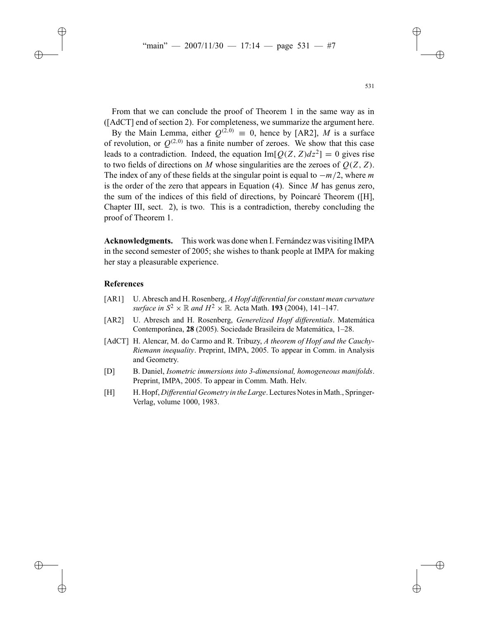From that we can conclude the proof of Theorem 1 in the same way as in ([AdCT] end of section 2). For completeness, we summarize the argument here.

By the Main Lemma, either  $Q^{(2,0)} \equiv 0$ , hence by [AR2], *M* is a surface of revolution, or  $O^{(2,0)}$  has a finite number of zeroes. We show that this case leads to a contradiction. Indeed, the equation  $\text{Im}[Q(Z, Z)dz^2] = 0$  gives rise to two fields of directions on *M* whose singularities are the zeroes of  $Q(Z, Z)$ . The index of any of these fields at the singular point is equal to −*m*/2, where *m* is the order of the zero that appears in Equation (4). Since *M* has genus zero, the sum of the indices of this field of directions, by Poincaré Theorem ([H], Chapter III, sect. 2), is two. This is a contradiction, thereby concluding the proof of Theorem 1.

**Acknowledgments.** This work was done when I. Fernández was visiting IMPA in the second semester of 2005; she wishes to thank people at IMPA for making her stay a pleasurable experience.

#### **References**

- [AR1] U. Abresch and H. Rosenberg, *A Hopf differential for constant mean curvature surface in*  $S^2 \times \mathbb{R}$  *and*  $H^2 \times \mathbb{R}$ *.* Acta Math. **193** (2004), 141–147.
- [AR2] U. Abresch and H. Rosenberg, *Generelized Hopf differentials*. Matemática Contemporânea, **28** (2005). Sociedade Brasileira de Matemática, 1–28.
- [AdCT] H. Alencar, M. do Carmo and R. Tribuzy, A theorem of Hopf and the Cauchy-*Riemann inequality*. Preprint, IMPA, 2005. To appear in Comm. in Analysis and Geometry.
- [D] B. Daniel, *Isometric immersions into 3-dimensional, homogeneous manifolds*. Preprint, IMPA, 2005. To appear in Comm. Math. Helv.
- [H] H. Hopf, *Differential Geometry in the Large*. Lectures Notes in Math., Springer-Verlag, volume 1000, 1983.